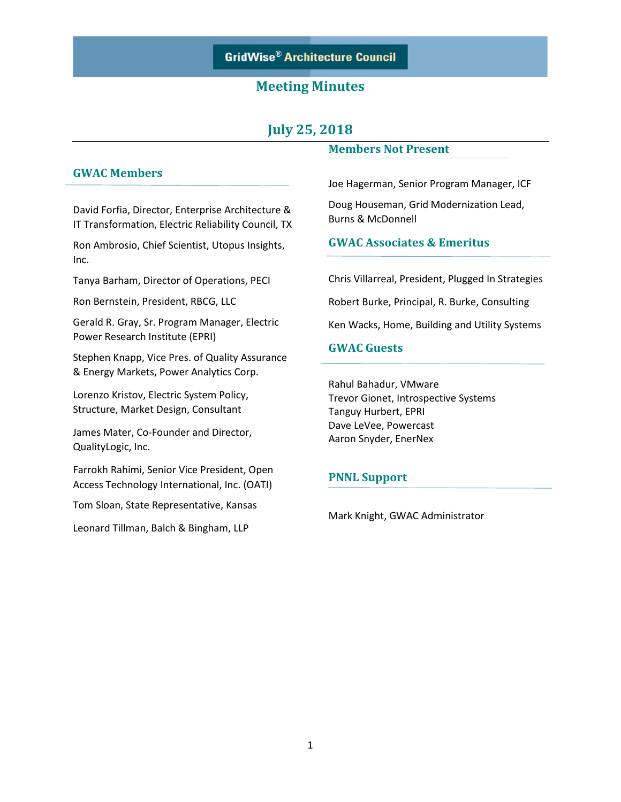## **GridWise® Architecture Council**

### **Meeting Minutes**

# **July 25, 2018**

### **GWAC Members**

David Forfia, Director, Enterprise Architecture & IT Transformation, Electric Reliability Council, TX

Ron Ambrosio, Chief Scientist, Utopus Insights, Inc.

Tanya Barham, Director of Operations, PECI

Ron Bernstein, President, RBCG, LLC

Gerald R. Gray, Sr. Program Manager, Electric Power Research Institute (EPRI)

Stephen Knapp, Vice Pres. of Quality Assurance & Energy Markets, Power Analytics Corp.

Lorenzo Kristov, Electric System Policy, Structure, Market Design, Consultant

James Mater, Co-Founder and Director, QualityLogic, Inc.

Farrokh Rahimi, Senior Vice President, Open Access Technology International, Inc. (OATI)

Tom Sloan, State Representative, Kansas

Leonard Tillman, Balch & Bingham, LLP

#### **Members Not Present**

Joe Hagerman, Senior Program Manager, ICF Doug Houseman, Grid Modernization Lead, Burns & McDonnell

### **GWAC Associates & Emeritus**

Chris Villarreal, President, Plugged In Strategies Robert Burke, Principal, R. Burke, Consulting

Ken Wacks, Home, Building and Utility Systems

### **GWAC Guests**

Rahul Bahadur, VMware Trevor Gionet, Introspective Systems Tanguy Hurbert, EPRI Dave LeVee, Powercast Aaron Snyder, EnerNex

#### **PNNL Support**

Mark Knight, GWAC Administrator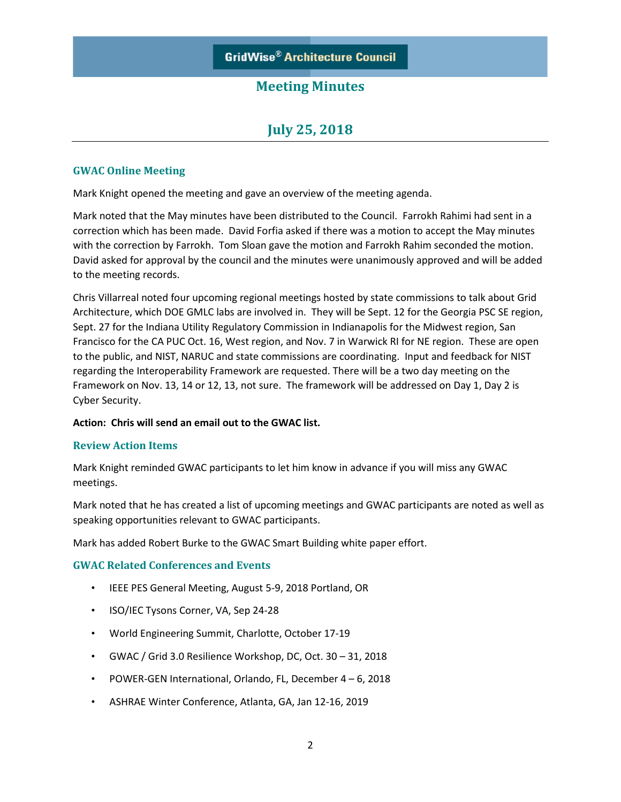# **July 25, 2018**

### **GWAC Online Meeting**

Mark Knight opened the meeting and gave an overview of the meeting agenda.

Mark noted that the May minutes have been distributed to the Council. Farrokh Rahimi had sent in a correction which has been made. David Forfia asked if there was a motion to accept the May minutes with the correction by Farrokh. Tom Sloan gave the motion and Farrokh Rahim seconded the motion. David asked for approval by the council and the minutes were unanimously approved and will be added to the meeting records.

Chris Villarreal noted four upcoming regional meetings hosted by state commissions to talk about Grid Architecture, which DOE GMLC labs are involved in. They will be Sept. 12 for the Georgia PSC SE region, Sept. 27 for the Indiana Utility Regulatory Commission in Indianapolis for the Midwest region, San Francisco for the CA PUC Oct. 16, West region, and Nov. 7 in Warwick RI for NE region. These are open to the public, and NIST, NARUC and state commissions are coordinating. Input and feedback for NIST regarding the Interoperability Framework are requested. There will be a two day meeting on the Framework on Nov. 13, 14 or 12, 13, not sure. The framework will be addressed on Day 1, Day 2 is Cyber Security.

#### **Action: Chris will send an email out to the GWAC list.**

### **Review Action Items**

Mark Knight reminded GWAC participants to let him know in advance if you will miss any GWAC meetings.

Mark noted that he has created a list of upcoming meetings and GWAC participants are noted as well as speaking opportunities relevant to GWAC participants.

Mark has added Robert Burke to the GWAC Smart Building white paper effort.

### **GWAC Related Conferences and Events**

- IEEE PES General Meeting, August 5-9, 2018 Portland, OR
- ISO/IEC Tysons Corner, VA, Sep 24-28
- World Engineering Summit, Charlotte, October 17-19
- GWAC / Grid 3.0 Resilience Workshop, DC, Oct. 30 31, 2018
- POWER-GEN International, Orlando, FL, December 4 6, 2018
- ASHRAE Winter Conference, Atlanta, GA, Jan 12-16, 2019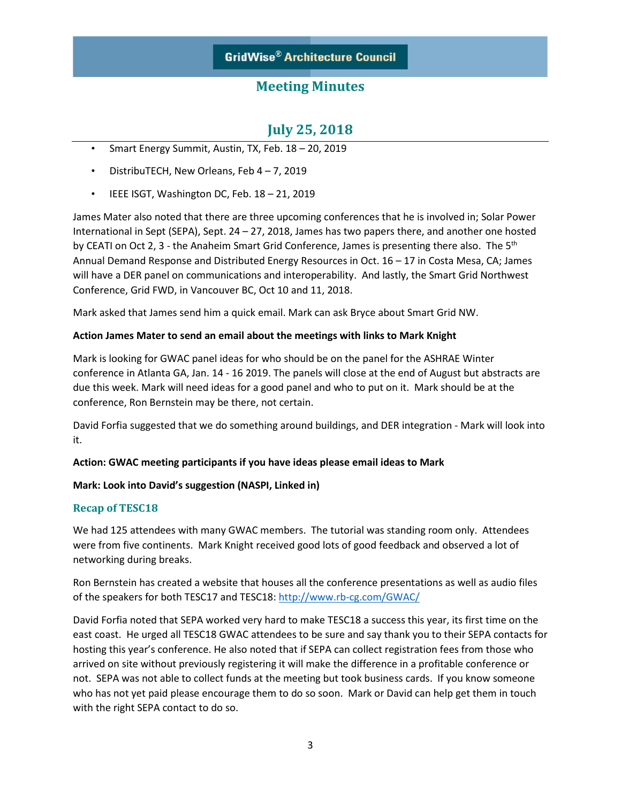## **July 25, 2018**

- Smart Energy Summit, Austin, TX, Feb. 18 20, 2019
- DistribuTECH, New Orleans, Feb 4 7, 2019
- IEEE ISGT, Washington DC, Feb. 18 21, 2019

James Mater also noted that there are three upcoming conferences that he is involved in; Solar Power International in Sept (SEPA), Sept. 24 – 27, 2018, James has two papers there, and another one hosted by CEATI on Oct 2, 3 - the Anaheim Smart Grid Conference, James is presenting there also. The 5<sup>th</sup> Annual Demand Response and Distributed Energy Resources in Oct. 16 – 17 in Costa Mesa, CA; James will have a DER panel on communications and interoperability. And lastly, the Smart Grid Northwest Conference, Grid FWD, in Vancouver BC, Oct 10 and 11, 2018.

Mark asked that James send him a quick email. Mark can ask Bryce about Smart Grid NW.

### **Action James Mater to send an email about the meetings with links to Mark Knight**

Mark is looking for GWAC panel ideas for who should be on the panel for the ASHRAE Winter conference in Atlanta GA, Jan. 14 - 16 2019. The panels will close at the end of August but abstracts are due this week. Mark will need ideas for a good panel and who to put on it. Mark should be at the conference, Ron Bernstein may be there, not certain.

David Forfia suggested that we do something around buildings, and DER integration - Mark will look into it.

### **Action: GWAC meeting participants if you have ideas please email ideas to Mark**

### **Mark: Look into David's suggestion (NASPI, Linked in)**

### **Recap of TESC18**

We had 125 attendees with many GWAC members. The tutorial was standing room only. Attendees were from five continents. Mark Knight received good lots of good feedback and observed a lot of networking during breaks.

Ron Bernstein has created a website that houses all the conference presentations as well as audio files of the speakers for both TESC17 and TESC18:<http://www.rb-cg.com/GWAC/>

David Forfia noted that SEPA worked very hard to make TESC18 a success this year, its first time on the east coast. He urged all TESC18 GWAC attendees to be sure and say thank you to their SEPA contacts for hosting this year's conference. He also noted that if SEPA can collect registration fees from those who arrived on site without previously registering it will make the difference in a profitable conference or not. SEPA was not able to collect funds at the meeting but took business cards. If you know someone who has not yet paid please encourage them to do so soon. Mark or David can help get them in touch with the right SEPA contact to do so.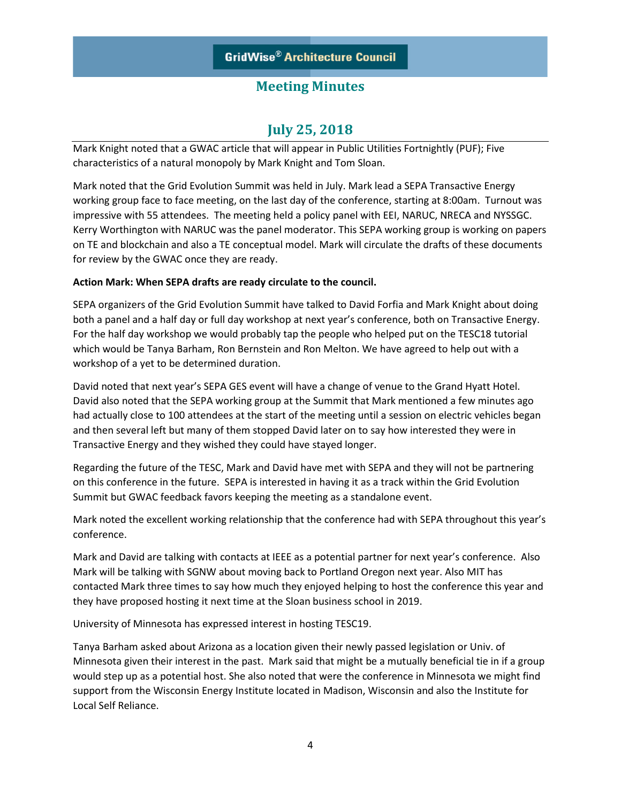## **July 25, 2018**

Mark Knight noted that a GWAC article that will appear in Public Utilities Fortnightly (PUF); Five characteristics of a natural monopoly by Mark Knight and Tom Sloan.

Mark noted that the Grid Evolution Summit was held in July. Mark lead a SEPA Transactive Energy working group face to face meeting, on the last day of the conference, starting at 8:00am. Turnout was impressive with 55 attendees. The meeting held a policy panel with EEI, NARUC, NRECA and NYSSGC. Kerry Worthington with NARUC was the panel moderator. This SEPA working group is working on papers on TE and blockchain and also a TE conceptual model. Mark will circulate the drafts of these documents for review by the GWAC once they are ready.

### **Action Mark: When SEPA drafts are ready circulate to the council.**

SEPA organizers of the Grid Evolution Summit have talked to David Forfia and Mark Knight about doing both a panel and a half day or full day workshop at next year's conference, both on Transactive Energy. For the half day workshop we would probably tap the people who helped put on the TESC18 tutorial which would be Tanya Barham, Ron Bernstein and Ron Melton. We have agreed to help out with a workshop of a yet to be determined duration.

David noted that next year's SEPA GES event will have a change of venue to the Grand Hyatt Hotel. David also noted that the SEPA working group at the Summit that Mark mentioned a few minutes ago had actually close to 100 attendees at the start of the meeting until a session on electric vehicles began and then several left but many of them stopped David later on to say how interested they were in Transactive Energy and they wished they could have stayed longer.

Regarding the future of the TESC, Mark and David have met with SEPA and they will not be partnering on this conference in the future. SEPA is interested in having it as a track within the Grid Evolution Summit but GWAC feedback favors keeping the meeting as a standalone event.

Mark noted the excellent working relationship that the conference had with SEPA throughout this year's conference.

Mark and David are talking with contacts at IEEE as a potential partner for next year's conference. Also Mark will be talking with SGNW about moving back to Portland Oregon next year. Also MIT has contacted Mark three times to say how much they enjoyed helping to host the conference this year and they have proposed hosting it next time at the Sloan business school in 2019.

University of Minnesota has expressed interest in hosting TESC19.

Tanya Barham asked about Arizona as a location given their newly passed legislation or Univ. of Minnesota given their interest in the past. Mark said that might be a mutually beneficial tie in if a group would step up as a potential host. She also noted that were the conference in Minnesota we might find support from the Wisconsin Energy Institute located in Madison, Wisconsin and also the Institute for Local Self Reliance.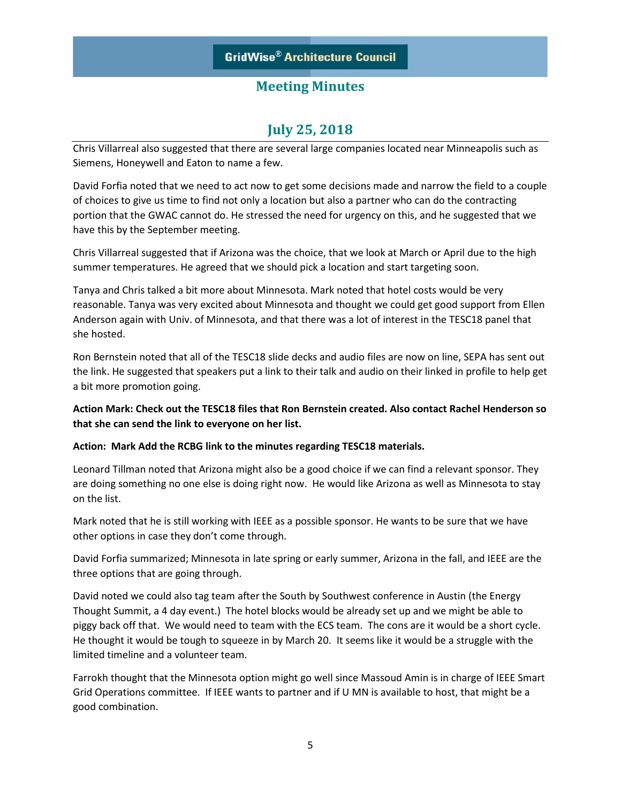# **July 25, 2018**

Chris Villarreal also suggested that there are several large companies located near Minneapolis such as Siemens, Honeywell and Eaton to name a few.

David Forfia noted that we need to act now to get some decisions made and narrow the field to a couple of choices to give us time to find not only a location but also a partner who can do the contracting portion that the GWAC cannot do. He stressed the need for urgency on this, and he suggested that we have this by the September meeting.

Chris Villarreal suggested that if Arizona was the choice, that we look at March or April due to the high summer temperatures. He agreed that we should pick a location and start targeting soon.

Tanya and Chris talked a bit more about Minnesota. Mark noted that hotel costs would be very reasonable. Tanya was very excited about Minnesota and thought we could get good support from Ellen Anderson again with Univ. of Minnesota, and that there was a lot of interest in the TESC18 panel that she hosted.

Ron Bernstein noted that all of the TESC18 slide decks and audio files are now on line, SEPA has sent out the link. He suggested that speakers put a link to their talk and audio on their linked in profile to help get a bit more promotion going.

**Action Mark: Check out the TESC18 files that Ron Bernstein created. Also contact Rachel Henderson so that she can send the link to everyone on her list.** 

### **Action: Mark Add the RCBG link to the minutes regarding TESC18 materials.**

Leonard Tillman noted that Arizona might also be a good choice if we can find a relevant sponsor. They are doing something no one else is doing right now. He would like Arizona as well as Minnesota to stay on the list.

Mark noted that he is still working with IEEE as a possible sponsor. He wants to be sure that we have other options in case they don't come through.

David Forfia summarized; Minnesota in late spring or early summer, Arizona in the fall, and IEEE are the three options that are going through.

David noted we could also tag team after the South by Southwest conference in Austin (the Energy Thought Summit, a 4 day event.) The hotel blocks would be already set up and we might be able to piggy back off that. We would need to team with the ECS team. The cons are it would be a short cycle. He thought it would be tough to squeeze in by March 20. It seems like it would be a struggle with the limited timeline and a volunteer team.

Farrokh thought that the Minnesota option might go well since Massoud Amin is in charge of IEEE Smart Grid Operations committee. If IEEE wants to partner and if U MN is available to host, that might be a good combination.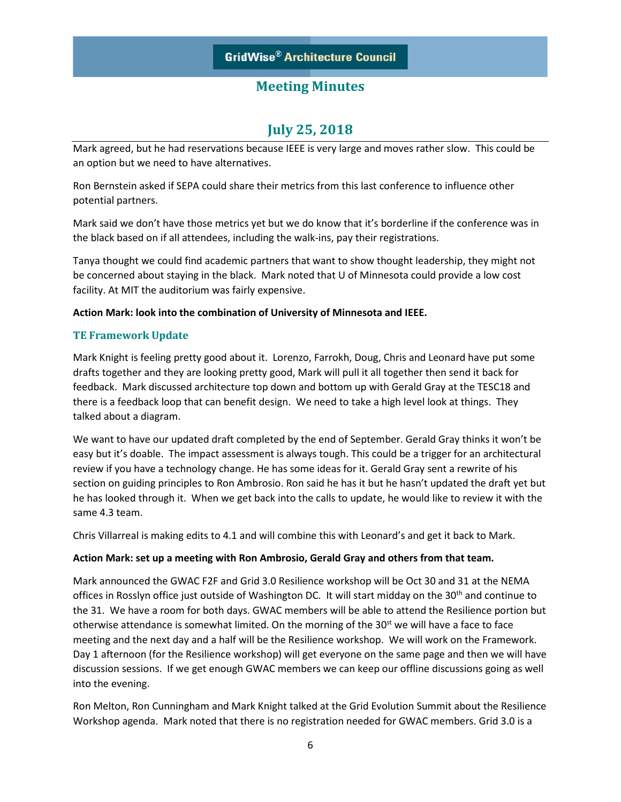## **July 25, 2018**

Mark agreed, but he had reservations because IEEE is very large and moves rather slow. This could be an option but we need to have alternatives.

Ron Bernstein asked if SEPA could share their metrics from this last conference to influence other potential partners.

Mark said we don't have those metrics yet but we do know that it's borderline if the conference was in the black based on if all attendees, including the walk-ins, pay their registrations.

Tanya thought we could find academic partners that want to show thought leadership, they might not be concerned about staying in the black. Mark noted that U of Minnesota could provide a low cost facility. At MIT the auditorium was fairly expensive.

### **Action Mark: look into the combination of University of Minnesota and IEEE.**

### **TE Framework Update**

Mark Knight is feeling pretty good about it. Lorenzo, Farrokh, Doug, Chris and Leonard have put some drafts together and they are looking pretty good, Mark will pull it all together then send it back for feedback. Mark discussed architecture top down and bottom up with Gerald Gray at the TESC18 and there is a feedback loop that can benefit design. We need to take a high level look at things. They talked about a diagram.

We want to have our updated draft completed by the end of September. Gerald Gray thinks it won't be easy but it's doable. The impact assessment is always tough. This could be a trigger for an architectural review if you have a technology change. He has some ideas for it. Gerald Gray sent a rewrite of his section on guiding principles to Ron Ambrosio. Ron said he has it but he hasn't updated the draft yet but he has looked through it. When we get back into the calls to update, he would like to review it with the same 4.3 team.

Chris Villarreal is making edits to 4.1 and will combine this with Leonard's and get it back to Mark.

### **Action Mark: set up a meeting with Ron Ambrosio, Gerald Gray and others from that team.**

Mark announced the GWAC F2F and Grid 3.0 Resilience workshop will be Oct 30 and 31 at the NEMA offices in Rosslyn office just outside of Washington DC. It will start midday on the 30<sup>th</sup> and continue to the 31. We have a room for both days. GWAC members will be able to attend the Resilience portion but otherwise attendance is somewhat limited. On the morning of the  $30<sup>st</sup>$  we will have a face to face meeting and the next day and a half will be the Resilience workshop. We will work on the Framework. Day 1 afternoon (for the Resilience workshop) will get everyone on the same page and then we will have discussion sessions. If we get enough GWAC members we can keep our offline discussions going as well into the evening.

Ron Melton, Ron Cunningham and Mark Knight talked at the Grid Evolution Summit about the Resilience Workshop agenda. Mark noted that there is no registration needed for GWAC members. Grid 3.0 is a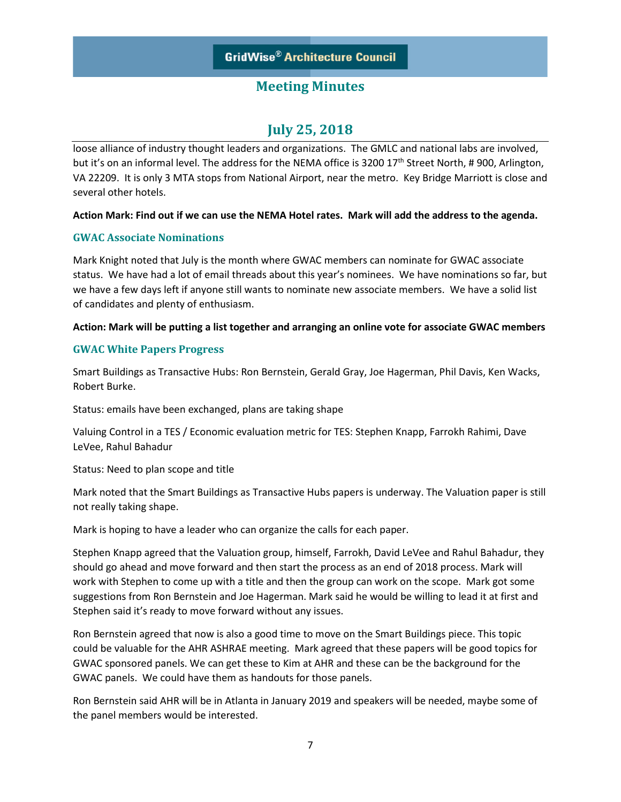## **July 25, 2018**

loose alliance of industry thought leaders and organizations. The GMLC and national labs are involved, but it's on an informal level. The address for the NEMA office is 3200 17<sup>th</sup> Street North, # 900, Arlington, VA 22209. It is only 3 MTA stops from National Airport, near the metro. Key Bridge Marriott is close and several other hotels.

### **Action Mark: Find out if we can use the NEMA Hotel rates. Mark will add the address to the agenda.**

### **GWAC Associate Nominations**

Mark Knight noted that July is the month where GWAC members can nominate for GWAC associate status. We have had a lot of email threads about this year's nominees. We have nominations so far, but we have a few days left if anyone still wants to nominate new associate members. We have a solid list of candidates and plenty of enthusiasm.

### **Action: Mark will be putting a list together and arranging an online vote for associate GWAC members**

### **GWAC White Papers Progress**

Smart Buildings as Transactive Hubs: Ron Bernstein, Gerald Gray, Joe Hagerman, Phil Davis, Ken Wacks, Robert Burke.

Status: emails have been exchanged, plans are taking shape

Valuing Control in a TES / Economic evaluation metric for TES: Stephen Knapp, Farrokh Rahimi, Dave LeVee, Rahul Bahadur

Status: Need to plan scope and title

Mark noted that the Smart Buildings as Transactive Hubs papers is underway. The Valuation paper is still not really taking shape.

Mark is hoping to have a leader who can organize the calls for each paper.

Stephen Knapp agreed that the Valuation group, himself, Farrokh, David LeVee and Rahul Bahadur, they should go ahead and move forward and then start the process as an end of 2018 process. Mark will work with Stephen to come up with a title and then the group can work on the scope. Mark got some suggestions from Ron Bernstein and Joe Hagerman. Mark said he would be willing to lead it at first and Stephen said it's ready to move forward without any issues.

Ron Bernstein agreed that now is also a good time to move on the Smart Buildings piece. This topic could be valuable for the AHR ASHRAE meeting. Mark agreed that these papers will be good topics for GWAC sponsored panels. We can get these to Kim at AHR and these can be the background for the GWAC panels. We could have them as handouts for those panels.

Ron Bernstein said AHR will be in Atlanta in January 2019 and speakers will be needed, maybe some of the panel members would be interested.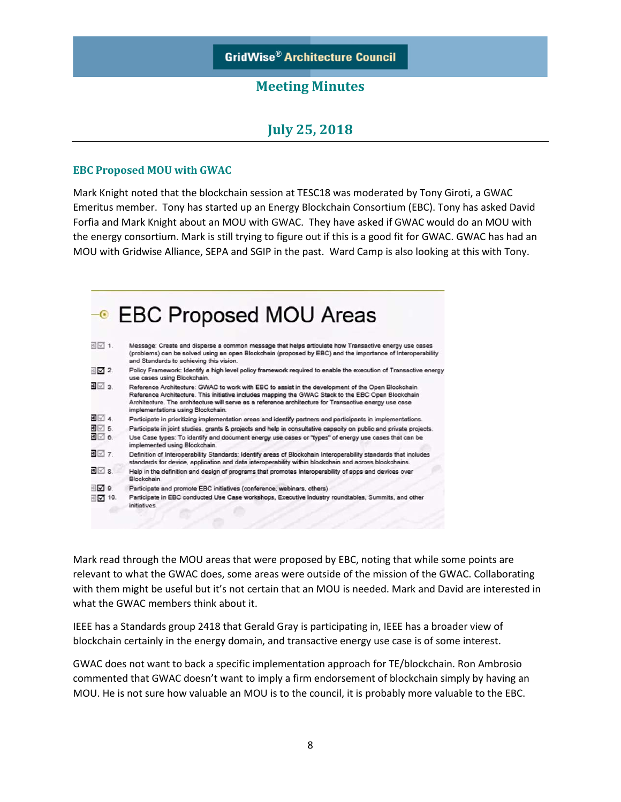## **July 25, 2018**

#### **EBC Proposed MOU with GWAC**

Mark Knight noted that the blockchain session at TESC18 was moderated by Tony Giroti, a GWAC Emeritus member. Tony has started up an Energy Blockchain Consortium (EBC). Tony has asked David Forfia and Mark Knight about an MOU with GWAC. They have asked if GWAC would do an MOU with the energy consortium. Mark is still trying to figure out if this is a good fit for GWAC. GWAC has had an MOU with Gridwise Alliance, SEPA and SGIP in the past. Ward Camp is also looking at this with Tony.



Mark read through the MOU areas that were proposed by EBC, noting that while some points are relevant to what the GWAC does, some areas were outside of the mission of the GWAC. Collaborating with them might be useful but it's not certain that an MOU is needed. Mark and David are interested in what the GWAC members think about it.

IEEE has a Standards group 2418 that Gerald Gray is participating in, IEEE has a broader view of blockchain certainly in the energy domain, and transactive energy use case is of some interest.

GWAC does not want to back a specific implementation approach for TE/blockchain. Ron Ambrosio commented that GWAC doesn't want to imply a firm endorsement of blockchain simply by having an MOU. He is not sure how valuable an MOU is to the council, it is probably more valuable to the EBC.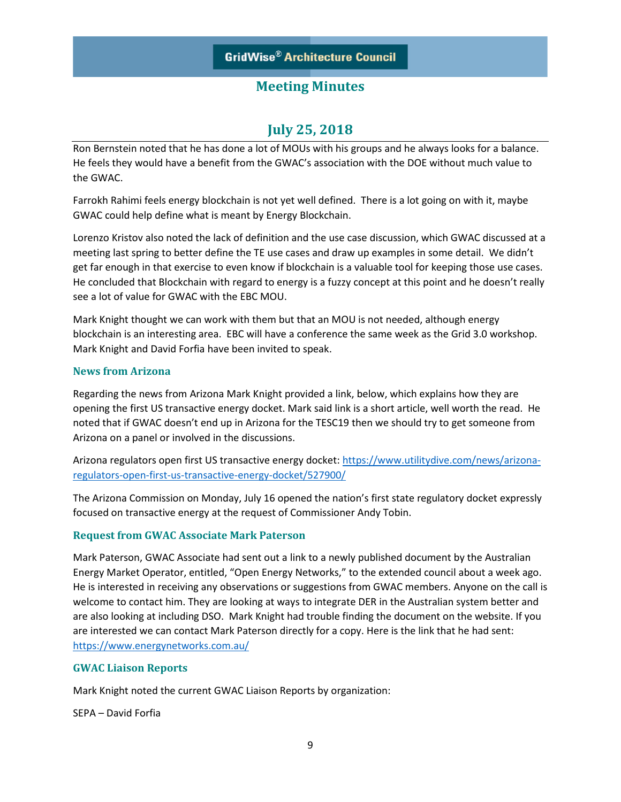## **July 25, 2018**

Ron Bernstein noted that he has done a lot of MOUs with his groups and he always looks for a balance. He feels they would have a benefit from the GWAC's association with the DOE without much value to the GWAC.

Farrokh Rahimi feels energy blockchain is not yet well defined. There is a lot going on with it, maybe GWAC could help define what is meant by Energy Blockchain.

Lorenzo Kristov also noted the lack of definition and the use case discussion, which GWAC discussed at a meeting last spring to better define the TE use cases and draw up examples in some detail. We didn't get far enough in that exercise to even know if blockchain is a valuable tool for keeping those use cases. He concluded that Blockchain with regard to energy is a fuzzy concept at this point and he doesn't really see a lot of value for GWAC with the EBC MOU.

Mark Knight thought we can work with them but that an MOU is not needed, although energy blockchain is an interesting area. EBC will have a conference the same week as the Grid 3.0 workshop. Mark Knight and David Forfia have been invited to speak.

### **News from Arizona**

Regarding the news from Arizona Mark Knight provided a link, below, which explains how they are opening the first US transactive energy docket. Mark said link is a short article, well worth the read. He noted that if GWAC doesn't end up in Arizona for the TESC19 then we should try to get someone from Arizona on a panel or involved in the discussions.

Arizona regulators open first US transactive energy docket[: https://www.utilitydive.com/news/arizona](https://www.utilitydive.com/news/arizona-regulators-open-first-us-transactive-energy-docket/527900/)[regulators-open-first-us-transactive-energy-docket/527900/](https://www.utilitydive.com/news/arizona-regulators-open-first-us-transactive-energy-docket/527900/)

The Arizona Commission on Monday, July 16 opened the nation's first state regulatory docket expressly focused on transactive energy at the request of Commissioner Andy Tobin.

### **Request from GWAC Associate Mark Paterson**

Mark Paterson, GWAC Associate had sent out a link to a newly published document by the Australian Energy Market Operator, entitled, "Open Energy Networks," to the extended council about a week ago. He is interested in receiving any observations or suggestions from GWAC members. Anyone on the call is welcome to contact him. They are looking at ways to integrate DER in the Australian system better and are also looking at including DSO. Mark Knight had trouble finding the document on the website. If you are interested we can contact Mark Paterson directly for a copy. Here is the link that he had sent: <https://www.energynetworks.com.au/>

### **GWAC Liaison Reports**

Mark Knight noted the current GWAC Liaison Reports by organization:

SEPA – David Forfia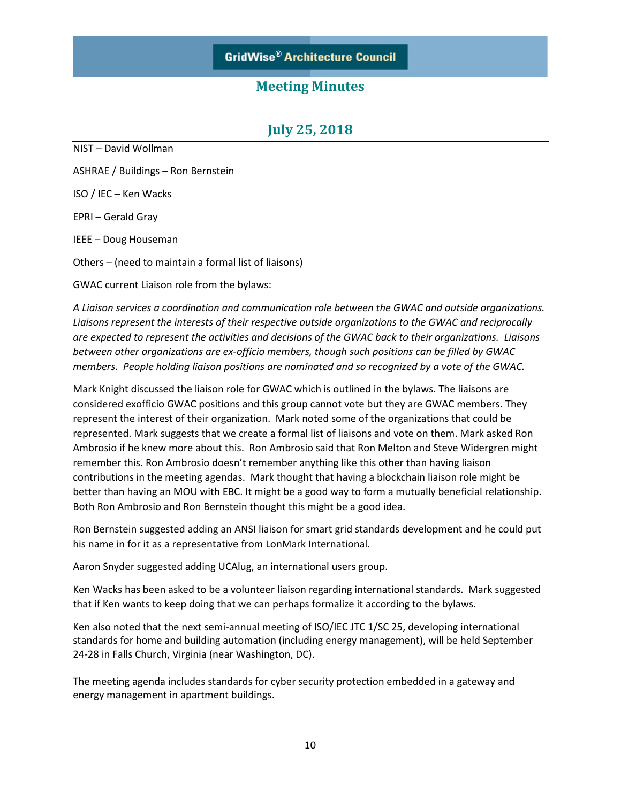## **July 25, 2018**

NIST – David Wollman ASHRAE / Buildings – Ron Bernstein ISO / IEC – Ken Wacks EPRI – Gerald Gray IEEE – Doug Houseman Others – (need to maintain a formal list of liaisons)

GWAC current Liaison role from the bylaws:

*A Liaison services a coordination and communication role between the GWAC and outside organizations. Liaisons represent the interests of their respective outside organizations to the GWAC and reciprocally are expected to represent the activities and decisions of the GWAC back to their organizations. Liaisons between other organizations are ex-officio members, though such positions can be filled by GWAC members. People holding liaison positions are nominated and so recognized by a vote of the GWAC.*

Mark Knight discussed the liaison role for GWAC which is outlined in the bylaws. The liaisons are considered exofficio GWAC positions and this group cannot vote but they are GWAC members. They represent the interest of their organization. Mark noted some of the organizations that could be represented. Mark suggests that we create a formal list of liaisons and vote on them. Mark asked Ron Ambrosio if he knew more about this. Ron Ambrosio said that Ron Melton and Steve Widergren might remember this. Ron Ambrosio doesn't remember anything like this other than having liaison contributions in the meeting agendas. Mark thought that having a blockchain liaison role might be better than having an MOU with EBC. It might be a good way to form a mutually beneficial relationship. Both Ron Ambrosio and Ron Bernstein thought this might be a good idea.

Ron Bernstein suggested adding an ANSI liaison for smart grid standards development and he could put his name in for it as a representative from LonMark International.

Aaron Snyder suggested adding UCAlug, an international users group.

Ken Wacks has been asked to be a volunteer liaison regarding international standards. Mark suggested that if Ken wants to keep doing that we can perhaps formalize it according to the bylaws.

Ken also noted that the next semi-annual meeting of ISO/IEC JTC 1/SC 25, developing international standards for home and building automation (including energy management), will be held September 24-28 in Falls Church, Virginia (near Washington, DC).

The meeting agenda includes standards for cyber security protection embedded in a gateway and energy management in apartment buildings.